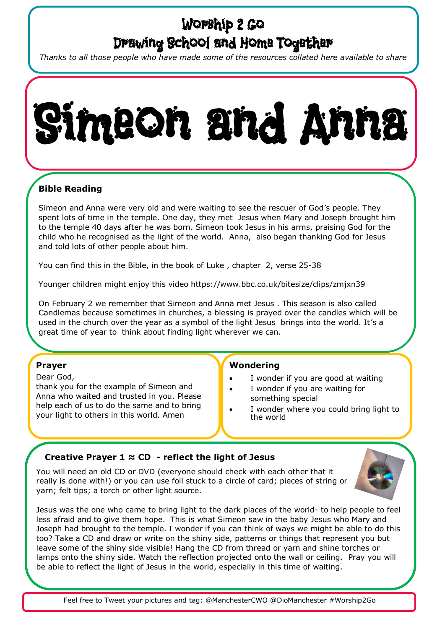# Worship 2 Go Drawing School and Home Together

*Thanks to all those people who have made some of the resources collated here available to share*

# Simeon and Anna

# **Bible Reading**

Simeon and Anna were very old and were waiting to see the rescuer of God's people. They spent lots of time in the temple. One day, they met Jesus when Mary and Joseph brought him to the temple 40 days after he was born. Simeon took Jesus in his arms, praising God for the child who he recognised as the light of the world. Anna, also began thanking God for Jesus and told lots of other people about him.

You can find this in the Bible, in the book of Luke , chapter 2, verse 25-38

Younger children might enjoy this video https://www.bbc.co.uk/bitesize/clips/zmjxn39

On February 2 we remember that Simeon and Anna met Jesus . This season is also called Candlemas because sometimes in churches, a blessing is prayed over the candles which will be used in the church over the year as a symbol of the light Jesus brings into the world. It's a great time of year to think about finding light wherever we can.

#### **Prayer**

Dear God, thank you for the example of Simeon and Anna who waited and trusted in you. Please help each of us to do the same and to bring your light to others in this world. Amen

#### **Wondering**

- I wonder if you are good at waiting
- I wonder if you are waiting for something special
- I wonder where you could bring light to the world

#### **Creative Prayer 1 ≈ CD - reflect the light of Jesus**

You will need an old CD or DVD (everyone should check with each other that it really is done with!) or you can use foil stuck to a circle of card; pieces of string or yarn; felt tips; a torch or other light source.



Jesus was the one who came to bring light to the dark places of the world- to help people to feel less afraid and to give them hope. This is what Simeon saw in the baby Jesus who Mary and Joseph had brought to the temple. I wonder if you can think of ways we might be able to do this too? Take a CD and draw or write on the shiny side, patterns or things that represent you but leave some of the shiny side visible! Hang the CD from thread or yarn and shine torches or lamps onto the shiny side. Watch the reflection projected onto the wall or ceiling. Pray you will be able to reflect the light of Jesus in the world, especially in this time of waiting.

Feel free to Tweet your pictures and tag: @ManchesterCWO @DioManchester #Worship2Go